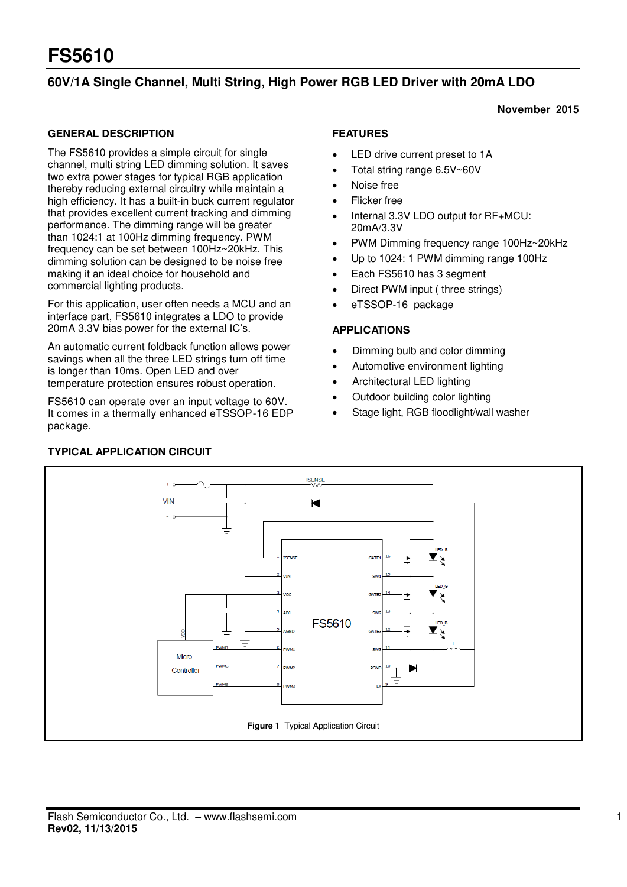### **60V/1A Single Channel, Multi String, High Power RGB LED Driver with 20mA LDO**

#### **November 2015**

### **GENERAL DESCRIPTION**

The FS5610 provides a simple circuit for single channel, multi string LED dimming solution. It saves two extra power stages for typical RGB application thereby reducing external circuitry while maintain a high efficiency. It has a built-in buck current regulator that provides excellent current tracking and dimming performance. The dimming range will be greater than 1024:1 at 100Hz dimming frequency. PWM frequency can be set between 100Hz~20kHz. This dimming solution can be designed to be noise free making it an ideal choice for household and commercial lighting products.

For this application, user often needs a MCU and an interface part, FS5610 integrates a LDO to provide 20mA 3.3V bias power for the external IC's.

An automatic current foldback function allows power savings when all the three LED strings turn off time is longer than 10ms. Open LED and over temperature protection ensures robust operation.

FS5610 can operate over an input voltage to 60V. It comes in a thermally enhanced eTSSOP-16 EDP package.

### **FEATURES**

- LED drive current preset to 1A
- Total string range 6.5V~60V
- Noise free
- Flicker free
- Internal 3.3V LDO output for RF+MCU: 20mA/3.3V
- PWM Dimming frequency range 100Hz~20kHz
- Up to 1024: 1 PWM dimming range 100Hz
- Each FS5610 has 3 segment
- Direct PWM input ( three strings)
- eTSSOP-16 package

#### **APPLICATIONS**

- Dimming bulb and color dimming
- Automotive environment lighting
- Architectural LED lighting
- Outdoor building color lighting
- Stage light, RGB floodlight/wall washer



### **TYPICAL APPLICATION CIRCUIT**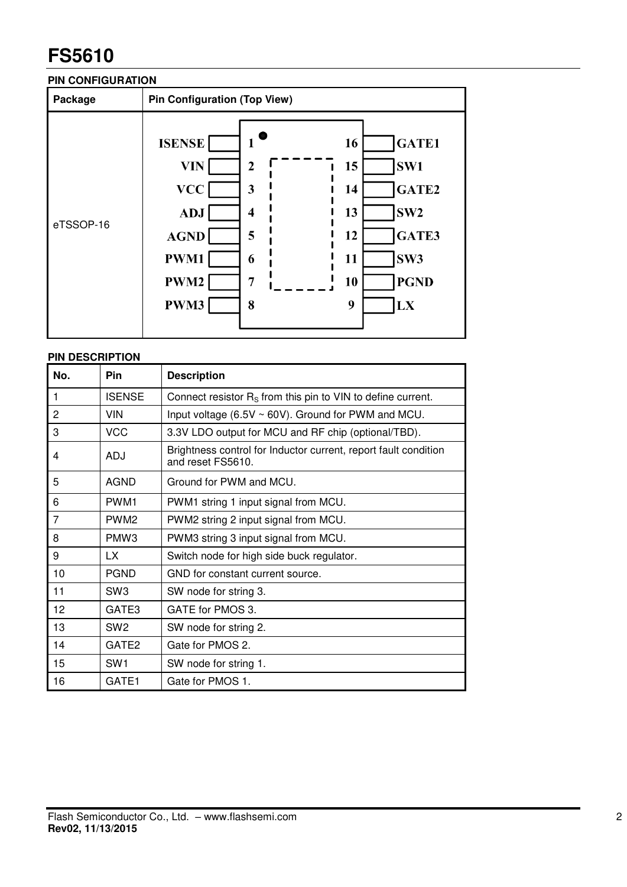### **PIN CONFIGURATION**

| Package   | <b>Pin Configuration (Top View)</b> |                |    |              |
|-----------|-------------------------------------|----------------|----|--------------|
| eTSSOP-16 | <b>ISENSE</b>                       | 1              | 16 | <b>GATE1</b> |
|           | <b>VIN</b>                          | $\mathbf{2}$   | 15 | SW1          |
|           | $\bf{VCC}$                          | 3              | 14 | GATE2        |
|           | <b>ADJ</b>                          | 4              | 13 | SW2          |
|           | <b>AGND</b>                         | 5              | 12 | GATE3        |
|           | PWM1                                | 6              | 11 | SW3          |
|           | PWM2                                | $\overline{7}$ | 10 | <b>PGND</b>  |
|           | PWM3                                | 8              | 9  | LX           |

### **PIN DESCRIPTION**

| No.            | <b>Pin</b>       | <b>Description</b>                                                                   |
|----------------|------------------|--------------------------------------------------------------------------------------|
| 1              | <b>ISENSE</b>    | Connect resistor $R_s$ from this pin to VIN to define current.                       |
| $\overline{2}$ | <b>VIN</b>       | Input voltage $(6.5V \sim 60V)$ . Ground for PWM and MCU.                            |
| 3              | <b>VCC</b>       | 3.3V LDO output for MCU and RF chip (optional/TBD).                                  |
| 4              | ADJ              | Brightness control for Inductor current, report fault condition<br>and reset FS5610. |
| 5              | AGND             | Ground for PWM and MCU.                                                              |
| 6              | PWM <sub>1</sub> | PWM1 string 1 input signal from MCU.                                                 |
| 7              | PWM <sub>2</sub> | PWM2 string 2 input signal from MCU.                                                 |
| 8              | PMW3             | PWM3 string 3 input signal from MCU.                                                 |
| 9              | LX.              | Switch node for high side buck regulator.                                            |
| 10             | <b>PGND</b>      | GND for constant current source.                                                     |
| 11             | SW <sub>3</sub>  | SW node for string 3.                                                                |
| 12             | GATE3            | GATE for PMOS 3.                                                                     |
| 13             | SW <sub>2</sub>  | SW node for string 2.                                                                |
| 14             | GATE2            | Gate for PMOS 2.                                                                     |
| 15             | SW <sub>1</sub>  | SW node for string 1.                                                                |
| 16             | GATE1            | Gate for PMOS 1.                                                                     |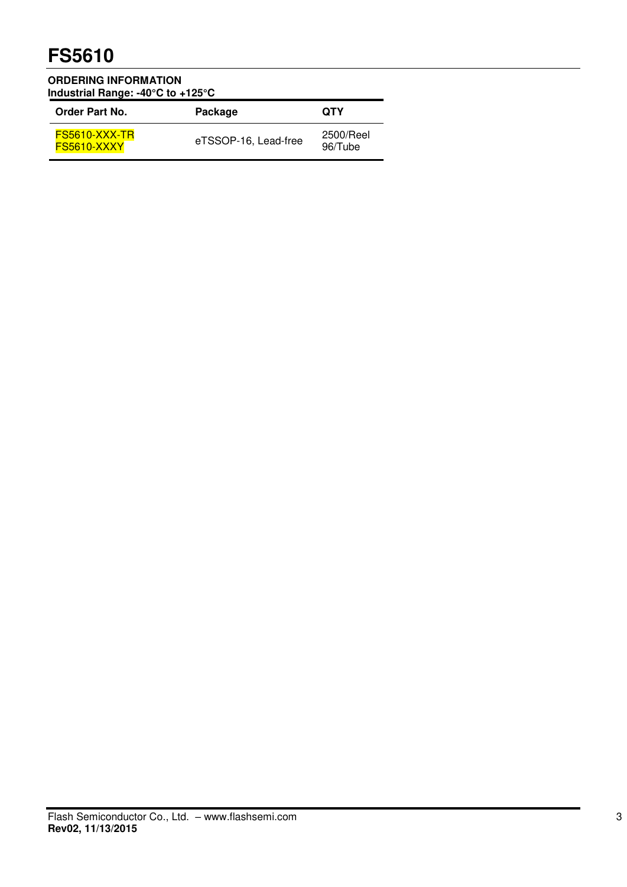### **ORDERING INFORMATION Industrial Range: -40°C to +125°C**

| Order Part No.                             | Package              | <b>OTY</b>           |
|--------------------------------------------|----------------------|----------------------|
| <b>FS5610-XXX-TR</b><br><b>FS5610-XXXY</b> | eTSSOP-16, Lead-free | 2500/Reel<br>96/Tube |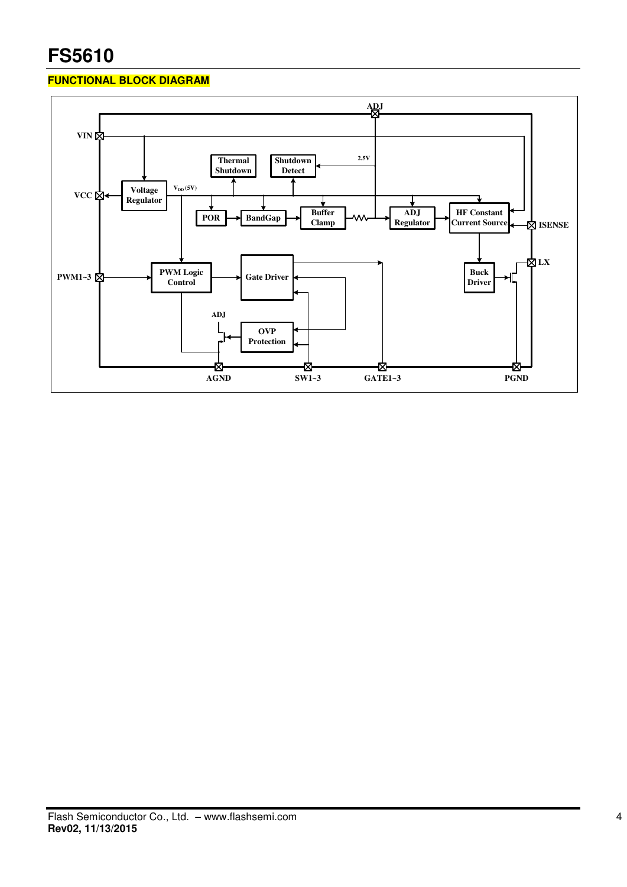### **FUNCTIONAL BLOCK DIAGRAM**

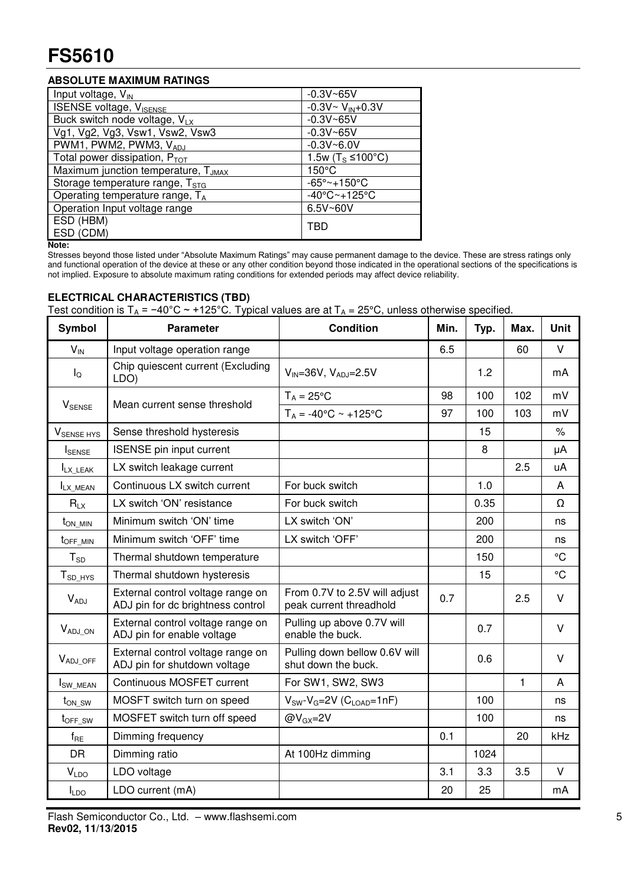### **ABSOLUTE MAXIMUM RATINGS**

| Input voltage, $V_{\text{IN}}$                  | $-0.3V - 65V$                            |
|-------------------------------------------------|------------------------------------------|
| <b>ISENSE voltage, V<sub>ISENSE</sub></b>       | $-0.3V - V_{IN} + 0.3V$                  |
| Buck switch node voltage, $V_{LX}$              | $-0.3V - 65V$                            |
| Vg1, Vg2, Vg3, Vsw1, Vsw2, Vsw3                 | $-0.3V - 65V$                            |
| PWM1, PWM2, PWM3, VADJ                          | $-0.3V - 6.0V$                           |
| Total power dissipation, $P_{TOT}$              | 1.5w ( $T_s$ ≤100°C)                     |
| Maximum junction temperature, T <sub>JMAX</sub> | 150°C                                    |
| Storage temperature range, T <sub>STG</sub>     | $-65^\circ$ ~+150 $\degree$ C            |
| Operating temperature range, $T_A$              | $-40^{\circ}$ C $\sim$ +125 $^{\circ}$ C |
| Operation Input voltage range                   | $6.5V - 60V$                             |
| ESD (HBM)                                       | <b>TBD</b>                               |
| ESD (CDM)                                       |                                          |

#### **Note:**

Stresses beyond those listed under "Absolute Maximum Ratings" may cause permanent damage to the device. These are stress ratings only and functional operation of the device at these or any other condition beyond those indicated in the operational sections of the specifications is not implied. Exposure to absolute maximum rating conditions for extended periods may affect device reliability.

#### **ELECTRICAL CHARACTERISTICS (TBD)**

Test condition is T<sub>A</sub> = −40°C ~ +125°C. Typical values are at T<sub>A</sub> = 25°C, unless otherwise specified.

| Symbol                 | <b>Parameter</b>                                                       | <b>Condition</b>                                         | Min. | Typ. | Max.         | <b>Unit</b>  |
|------------------------|------------------------------------------------------------------------|----------------------------------------------------------|------|------|--------------|--------------|
| $V_{IN}$               | Input voltage operation range                                          |                                                          | 6.5  |      | 60           | V            |
| $I_{\rm Q}$            | Chip quiescent current (Excluding<br>LDO)                              | $V_{IN} = 36V$ , $V_{AD,I} = 2.5V$                       |      | 1.2  |              | mA           |
| <b>V</b> SENSE         | Mean current sense threshold                                           | $T_A = 25$ °C                                            | 98   | 100  | 102          | mV           |
|                        |                                                                        | $T_A = -40$ °C ~ $+125$ °C                               | 97   | 100  | 103          | mV           |
| V <sub>SENSE HYS</sub> | Sense threshold hysteresis                                             |                                                          |      | 15   |              | $\%$         |
| <b>I</b> SENSE         | <b>ISENSE</b> pin input current                                        |                                                          |      | 8    |              | μA           |
| ILX_LEAK               | LX switch leakage current                                              |                                                          |      |      | 2.5          | uA           |
| <b>ILX MEAN</b>        | Continuous LX switch current                                           | For buck switch                                          |      | 1.0  |              | A            |
| $R_{LX}$               | LX switch 'ON' resistance                                              | For buck switch                                          |      | 0.35 |              | Ω            |
| $t_{ON\_MIN}$          | Minimum switch 'ON' time                                               | LX switch 'ON'                                           |      | 200  |              | ns           |
| t <sub>OFF</sub> MIN   | Minimum switch 'OFF' time                                              | LX switch 'OFF'                                          |      | 200  |              | ns           |
| $T_{SD}$               | Thermal shutdown temperature                                           |                                                          |      | 150  |              | °C           |
| $T_{SD\_HYS}$          | Thermal shutdown hysteresis                                            |                                                          |      | 15   |              | $^{\circ}$ C |
| $V_{ADJ}$              | External control voltage range on<br>ADJ pin for dc brightness control | From 0.7V to 2.5V will adjust<br>peak current threadhold | 0.7  |      | 2.5          | $\vee$       |
| $V_{ADJ\_ON}$          | External control voltage range on<br>ADJ pin for enable voltage        | Pulling up above 0.7V will<br>enable the buck.           |      | 0.7  |              | $\vee$       |
| $V_{ADJ\_OFF}$         | External control voltage range on<br>ADJ pin for shutdown voltage      | Pulling down bellow 0.6V will<br>shut down the buck.     |      | 0.6  |              | $\vee$       |
| I <sub>SW</sub> MEAN   | Continuous MOSFET current                                              | For SW1, SW2, SW3                                        |      |      | $\mathbf{1}$ | A            |
| t <sub>on</sub> sw     | MOSFT switch turn on speed                                             | $V_{SW}$ - $V_G$ =2V (C <sub>LOAD</sub> =1nF)            |      | 100  |              | ns           |
| t <sub>OFF_SW</sub>    | MOSFET switch turn off speed                                           | @ $V_{GX}=2V$                                            |      | 100  |              | ns           |
| $f_{RE}$               | Dimming frequency                                                      |                                                          | 0.1  |      | 20           | kHz          |
| <b>DR</b>              | Dimming ratio                                                          | At 100Hz dimming                                         |      | 1024 |              |              |
| V <sub>LDO</sub>       | LDO voltage                                                            |                                                          | 3.1  | 3.3  | 3.5          | $\vee$       |
| $I_{LDO}$              | LDO current (mA)                                                       |                                                          | 20   | 25   |              | mA           |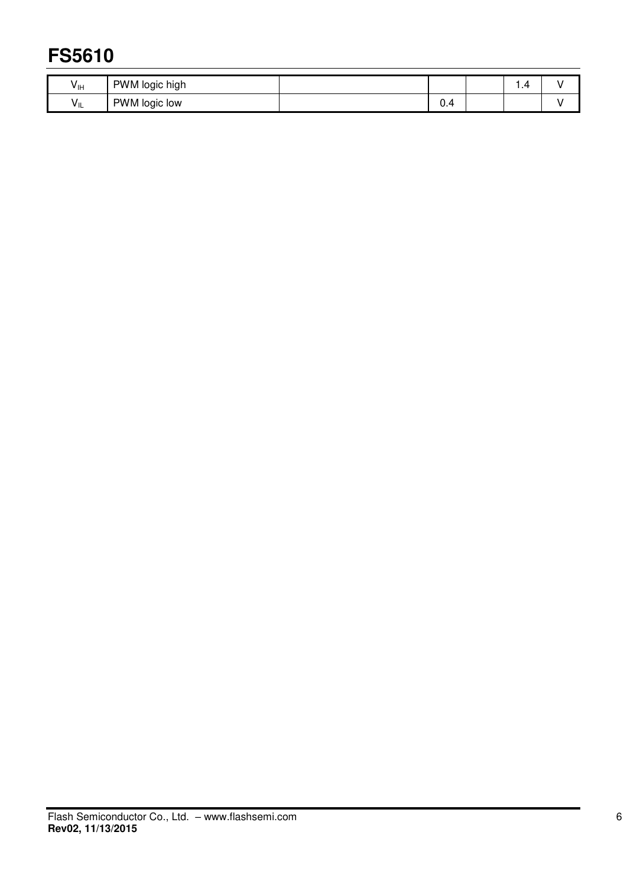| V <sub>IH</sub> | PWM logic high |     | . |  |
|-----------------|----------------|-----|---|--|
| V <sub>IL</sub> | PWM logic low  | ◡.− |   |  |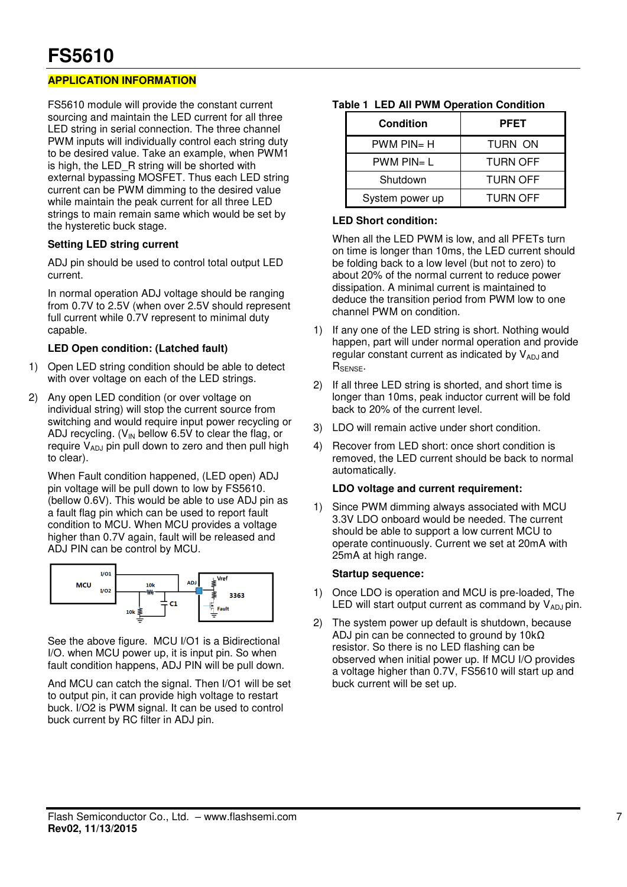### **APPLICATION INFORMATION**

FS5610 module will provide the constant current sourcing and maintain the LED current for all three LED string in serial connection. The three channel PWM inputs will individually control each string duty to be desired value. Take an example, when PWM1 is high, the LED R string will be shorted with external bypassing MOSFET. Thus each LED string current can be PWM dimming to the desired value while maintain the peak current for all three LED strings to main remain same which would be set by the hysteretic buck stage.

#### **Setting LED string current**

ADJ pin should be used to control total output LED current.

In normal operation ADJ voltage should be ranging from 0.7V to 2.5V (when over 2.5V should represent full current while 0.7V represent to minimal duty capable.

#### **LED Open condition: (Latched fault)**

- 1) Open LED string condition should be able to detect with over voltage on each of the LED strings.
- 2) Any open LED condition (or over voltage on individual string) will stop the current source from switching and would require input power recycling or ADJ recycling.  $(V_{IN}$  bellow 6.5V to clear the flag, or require  $V_{AD}$  pin pull down to zero and then pull high to clear).

When Fault condition happened, (LED open) ADJ pin voltage will be pull down to low by FS5610. (bellow 0.6V). This would be able to use ADJ pin as a fault flag pin which can be used to report fault condition to MCU. When MCU provides a voltage higher than 0.7V again, fault will be released and ADJ PIN can be control by MCU.



See the above figure. MCU I/O1 is a Bidirectional I/O. when MCU power up, it is input pin. So when fault condition happens, ADJ PIN will be pull down.

And MCU can catch the signal. Then I/O1 will be set to output pin, it can provide high voltage to restart buck. I/O2 is PWM signal. It can be used to control buck current by RC filter in ADJ pin.

#### **Table 1 LED All PWM Operation Condition**

| <b>Condition</b> | <b>PFET</b>     |
|------------------|-----------------|
| $PWM PIN = H$    | TURN ON         |
| $PWM PIN = L$    | <b>TURN OFF</b> |
| Shutdown         | <b>TURN OFF</b> |
| System power up  | <b>TURN OFF</b> |

#### **LED Short condition:**

When all the LED PWM is low, and all PFETs turn on time is longer than 10ms, the LED current should be folding back to a low level (but not to zero) to about 20% of the normal current to reduce power dissipation. A minimal current is maintained to deduce the transition period from PWM low to one channel PWM on condition.

- 1) If any one of the LED string is short. Nothing would happen, part will under normal operation and provide regular constant current as indicated by  $V_{AD}$  and R<sub>SENSE</sub>.
- 2) If all three LED string is shorted, and short time is longer than 10ms, peak inductor current will be fold back to 20% of the current level.
- 3) LDO will remain active under short condition.
- 4) Recover from LED short: once short condition is removed, the LED current should be back to normal automatically.

#### **LDO voltage and current requirement:**

1) Since PWM dimming always associated with MCU 3.3V LDO onboard would be needed. The current should be able to support a low current MCU to operate continuously. Current we set at 20mA with 25mA at high range.

#### **Startup sequence:**

- 1) Once LDO is operation and MCU is pre-loaded, The LED will start output current as command by  $V_{ADJ}$  pin.
- 2) The system power up default is shutdown, because ADJ pin can be connected to ground by 10kΩ resistor. So there is no LED flashing can be observed when initial power up. If MCU I/O provides a voltage higher than 0.7V, FS5610 will start up and buck current will be set up.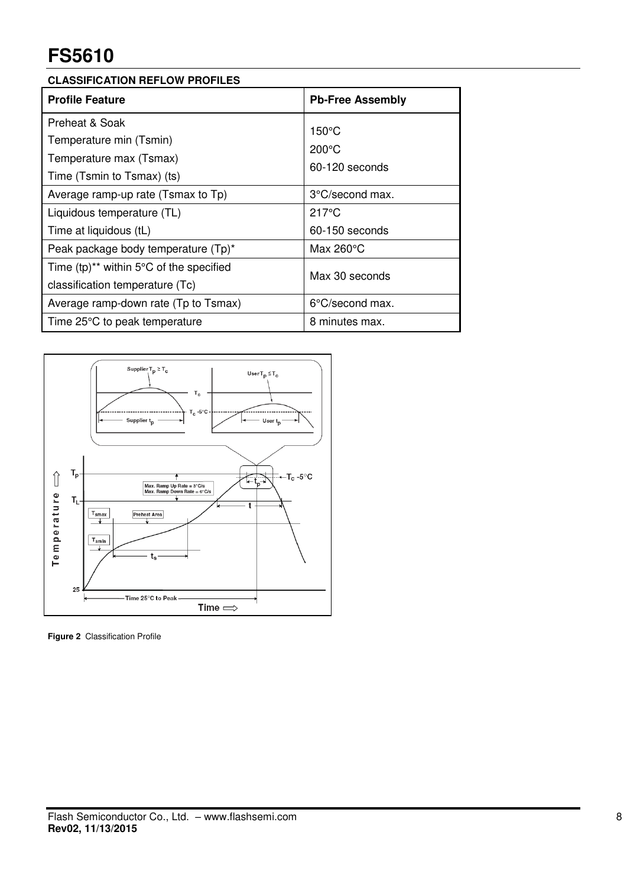### **CLASSIFICATION REFLOW PROFILES**

| <b>Profile Feature</b>                       | <b>Pb-Free Assembly</b> |  |  |
|----------------------------------------------|-------------------------|--|--|
| Preheat & Soak                               | $150^{\circ}$ C         |  |  |
| Temperature min (Tsmin)                      | $200^{\circ}$ C         |  |  |
| Temperature max (Tsmax)                      | 60-120 seconds          |  |  |
| Time (Tsmin to Tsmax) (ts)                   |                         |  |  |
| Average ramp-up rate (Tsmax to Tp)           | 3°C/second max.         |  |  |
| Liquidous temperature (TL)                   | $217^{\circ}$ C         |  |  |
| Time at liquidous (tL)                       | 60-150 seconds          |  |  |
| Peak package body temperature (Tp)*          | Max $260^{\circ}$ C     |  |  |
| Time $(tp)^{**}$ within 5°C of the specified | Max 30 seconds          |  |  |
| classification temperature (Tc)              |                         |  |  |
| Average ramp-down rate (Tp to Tsmax)         | 6°C/second max.         |  |  |
| Time 25°C to peak temperature                | 8 minutes max.          |  |  |



**Figure 2** Classification Profile